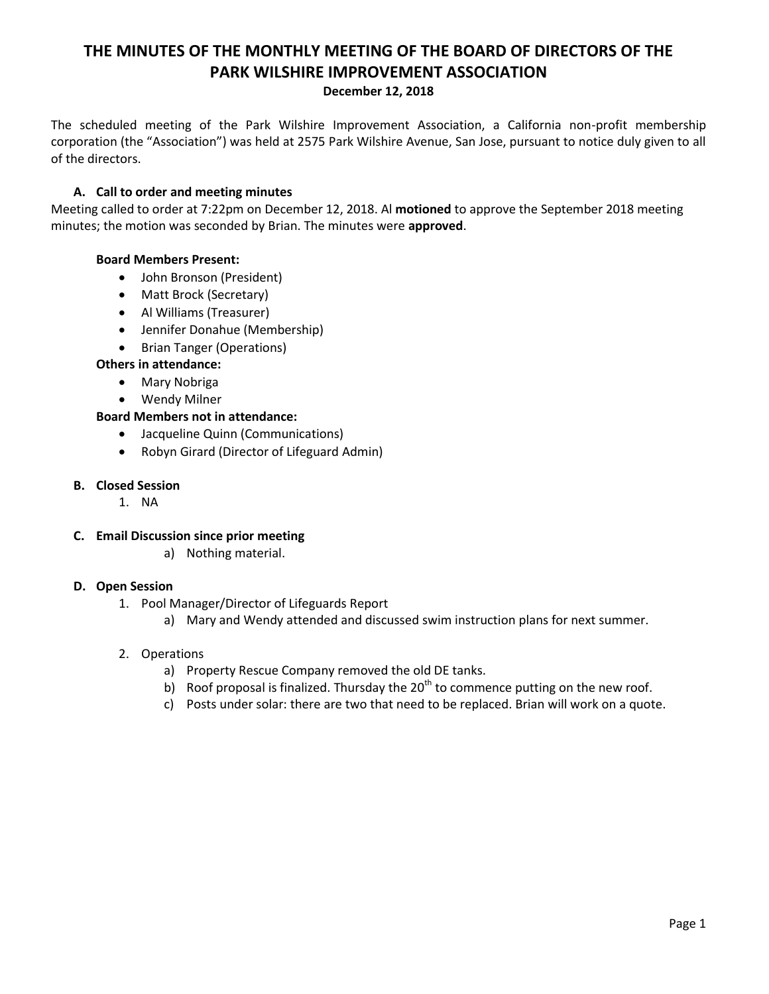# **THE MINUTES OF THE MONTHLY MEETING OF THE BOARD OF DIRECTORS OF THE PARK WILSHIRE IMPROVEMENT ASSOCIATION**

#### **December 12, 2018**

The scheduled meeting of the Park Wilshire Improvement Association, a California non-profit membership corporation (the "Association") was held at 2575 Park Wilshire Avenue, San Jose, pursuant to notice duly given to all of the directors.

## **A. Call to order and meeting minutes**

Meeting called to order at 7:22pm on December 12, 2018. Al **motioned** to approve the September 2018 meeting minutes; the motion was seconded by Brian. The minutes were **approved**.

## **Board Members Present:**

- John Bronson (President)
- Matt Brock (Secretary)
- Al Williams (Treasurer)
- Jennifer Donahue (Membership)
- Brian Tanger (Operations)

## **Others in attendance:**

- Mary Nobriga
- Wendy Milner

## **Board Members not in attendance:**

- Jacqueline Quinn (Communications)
- Robyn Girard (Director of Lifeguard Admin)

## **B. Closed Session**

1. NA

## **C. Email Discussion since prior meeting**

a) Nothing material.

## **D. Open Session**

- 1. Pool Manager/Director of Lifeguards Report
	- a) Mary and Wendy attended and discussed swim instruction plans for next summer.

## 2. Operations

- a) Property Rescue Company removed the old DE tanks.
- b) Roof proposal is finalized. Thursday the  $20<sup>th</sup>$  to commence putting on the new roof.
- c) Posts under solar: there are two that need to be replaced. Brian will work on a quote.